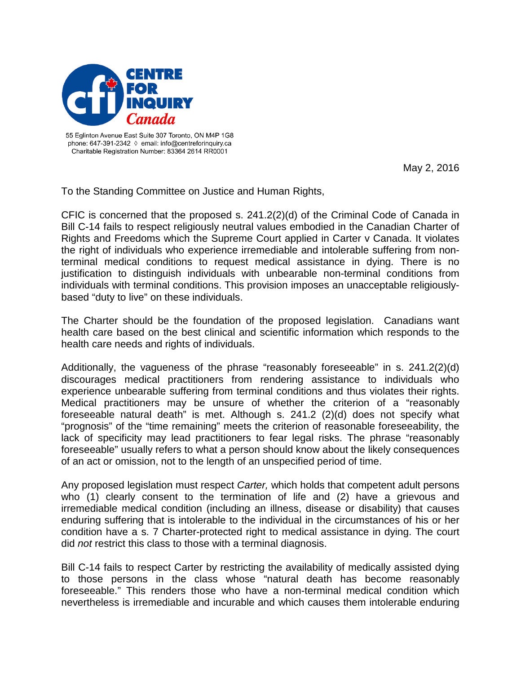

55 Eglinton Avenue East Suite 307 Toronto, ON M4P 1G8 phone: 647-391-2342 ◊ email: info@centreforinguiry.ca Charitable Registration Number: 83364 2614 RR0001

May 2, 2016

To the Standing Committee on Justice and Human Rights,

CFIC is concerned that the proposed s. 241.2(2)(d) of the Criminal Code of Canada in Bill C-14 fails to respect religiously neutral values embodied in the Canadian Charter of Rights and Freedoms which the Supreme Court applied in Carter v Canada. It violates the right of individuals who experience irremediable and intolerable suffering from nonterminal medical conditions to request medical assistance in dying. There is no justification to distinguish individuals with unbearable non-terminal conditions from individuals with terminal conditions. This provision imposes an unacceptable religiouslybased "duty to live" on these individuals.

The Charter should be the foundation of the proposed legislation. Canadians want health care based on the best clinical and scientific information which responds to the health care needs and rights of individuals.

Additionally, the vagueness of the phrase "reasonably foreseeable" in s. 241.2(2)(d) discourages medical practitioners from rendering assistance to individuals who experience unbearable suffering from terminal conditions and thus violates their rights. Medical practitioners may be unsure of whether the criterion of a "reasonably foreseeable natural death" is met. Although s. 241.2 (2)(d) does not specify what "prognosis" of the "time remaining" meets the criterion of reasonable foreseeability, the lack of specificity may lead practitioners to fear legal risks. The phrase "reasonably foreseeable" usually refers to what a person should know about the likely consequences of an act or omission, not to the length of an unspecified period of time.

Any proposed legislation must respect *Carter,* which holds that competent adult persons who (1) clearly consent to the termination of life and (2) have a grievous and irremediable medical condition (including an illness, disease or disability) that causes enduring suffering that is intolerable to the individual in the circumstances of his or her condition have a s. 7 Charter-protected right to medical assistance in dying. The court did *not* restrict this class to those with a terminal diagnosis.

Bill C-14 fails to respect Carter by restricting the availability of medically assisted dying to those persons in the class whose "natural death has become reasonably foreseeable." This renders those who have a non-terminal medical condition which nevertheless is irremediable and incurable and which causes them intolerable enduring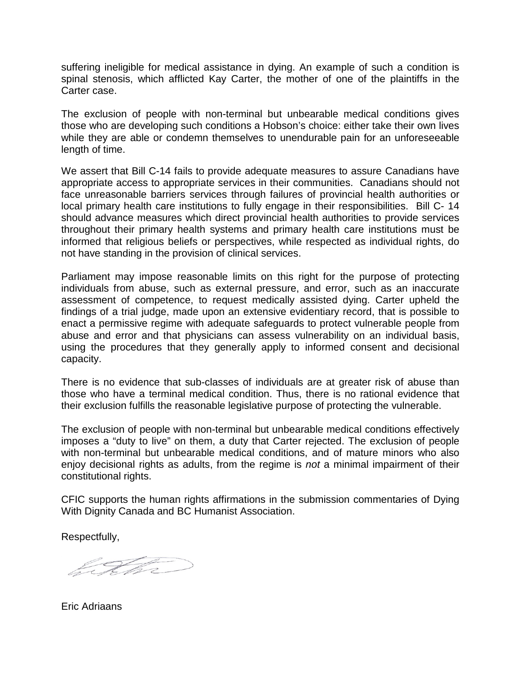suffering ineligible for medical assistance in dying. An example of such a condition is spinal stenosis, which afflicted Kay Carter, the mother of one of the plaintiffs in the Carter case.

The exclusion of people with non-terminal but unbearable medical conditions gives those who are developing such conditions a Hobson's choice: either take their own lives while they are able or condemn themselves to unendurable pain for an unforeseeable length of time.

We assert that Bill C-14 fails to provide adequate measures to assure Canadians have appropriate access to appropriate services in their communities. Canadians should not face unreasonable barriers services through failures of provincial health authorities or local primary health care institutions to fully engage in their responsibilities. Bill C- 14 should advance measures which direct provincial health authorities to provide services throughout their primary health systems and primary health care institutions must be informed that religious beliefs or perspectives, while respected as individual rights, do not have standing in the provision of clinical services.

Parliament may impose reasonable limits on this right for the purpose of protecting individuals from abuse, such as external pressure, and error, such as an inaccurate assessment of competence, to request medically assisted dying. Carter upheld the findings of a trial judge, made upon an extensive evidentiary record, that is possible to enact a permissive regime with adequate safeguards to protect vulnerable people from abuse and error and that physicians can assess vulnerability on an individual basis, using the procedures that they generally apply to informed consent and decisional capacity.

There is no evidence that sub-classes of individuals are at greater risk of abuse than those who have a terminal medical condition. Thus, there is no rational evidence that their exclusion fulfills the reasonable legislative purpose of protecting the vulnerable.

The exclusion of people with non-terminal but unbearable medical conditions effectively imposes a "duty to live" on them, a duty that Carter rejected. The exclusion of people with non-terminal but unbearable medical conditions, and of mature minors who also enjoy decisional rights as adults, from the regime is *not* a minimal impairment of their constitutional rights.

CFIC supports the human rights affirmations in the submission commentaries of Dying With Dignity Canada and BC Humanist Association.

Respectfully,

<u>l Febru</u>

Eric Adriaans